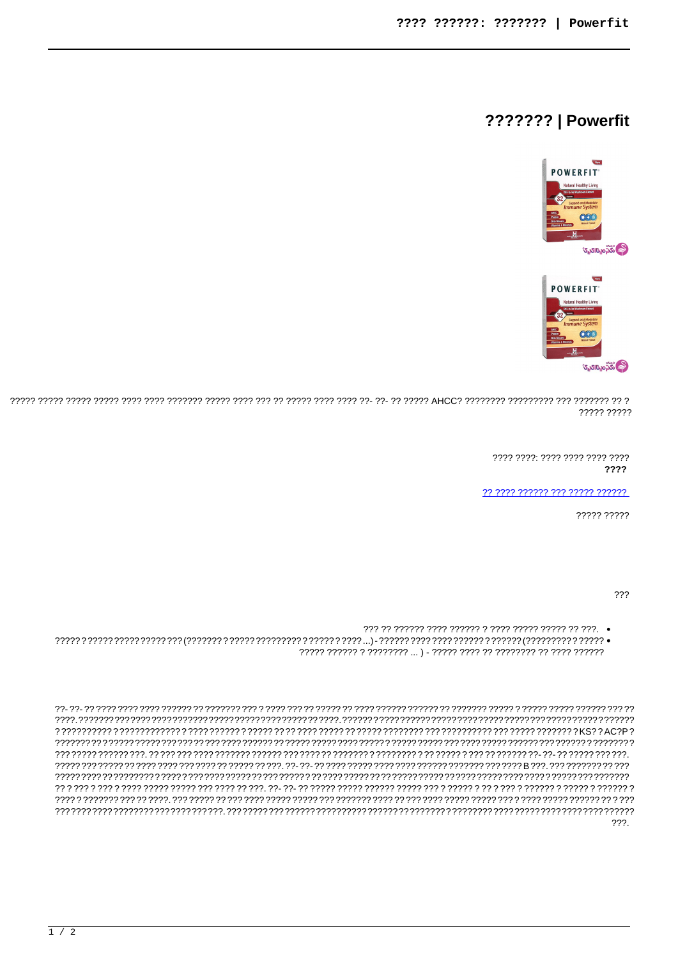## **??????? | Powerfit**



2021 19327 2022 2022 1932 1932 2032 2033 1944 1952 2043 1954 1965 1972 2044 1983 1993 1993 1994 1994 1997 1997 2033 199 ????? ?????

> 7777 7777 7777 7777 7777 7777 ????

77 7777 777777 777 77777 777777

????? ?????

???

222